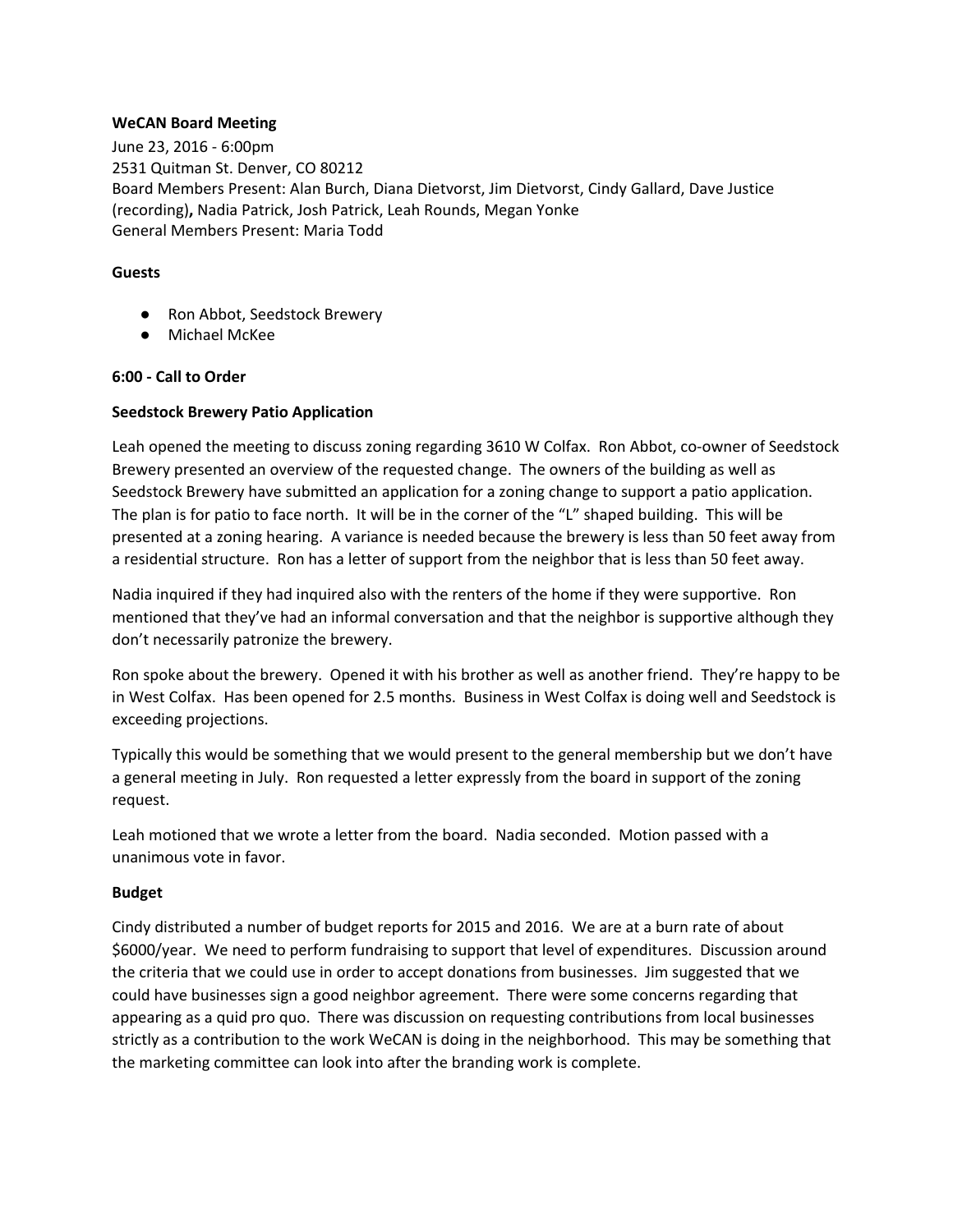## **WeCAN Board Meeting**

June 23, 2016 - 6:00pm 2531 Quitman St. Denver, CO 80212 Board Members Present: Alan Burch, Diana Dietvorst, Jim Dietvorst, Cindy Gallard, Dave Justice (recording)**,** Nadia Patrick, Josh Patrick, Leah Rounds, Megan Yonke General Members Present: Maria Todd

## **Guests**

- Ron Abbot, Seedstock Brewery
- Michael McKee

## **6:00 - Call to Order**

## **Seedstock Brewery Patio Application**

Leah opened the meeting to discuss zoning regarding 3610 W Colfax. Ron Abbot, co-owner of Seedstock Brewery presented an overview of the requested change. The owners of the building as well as Seedstock Brewery have submitted an application for a zoning change to support a patio application. The plan is for patio to face north. It will be in the corner of the "L" shaped building. This will be presented at a zoning hearing. A variance is needed because the brewery is less than 50 feet away from a residential structure. Ron has a letter of support from the neighbor that is less than 50 feet away.

Nadia inquired if they had inquired also with the renters of the home if they were supportive. Ron mentioned that they've had an informal conversation and that the neighbor is supportive although they don't necessarily patronize the brewery.

Ron spoke about the brewery. Opened it with his brother as well as another friend. They're happy to be in West Colfax. Has been opened for 2.5 months. Business in West Colfax is doing well and Seedstock is exceeding projections.

Typically this would be something that we would present to the general membership but we don't have a general meeting in July. Ron requested a letter expressly from the board in support of the zoning request.

Leah motioned that we wrote a letter from the board. Nadia seconded. Motion passed with a unanimous vote in favor.

#### **Budget**

Cindy distributed a number of budget reports for 2015 and 2016. We are at a burn rate of about \$6000/year. We need to perform fundraising to support that level of expenditures. Discussion around the criteria that we could use in order to accept donations from businesses. Jim suggested that we could have businesses sign a good neighbor agreement. There were some concerns regarding that appearing as a quid pro quo. There was discussion on requesting contributions from local businesses strictly as a contribution to the work WeCAN is doing in the neighborhood. This may be something that the marketing committee can look into after the branding work is complete.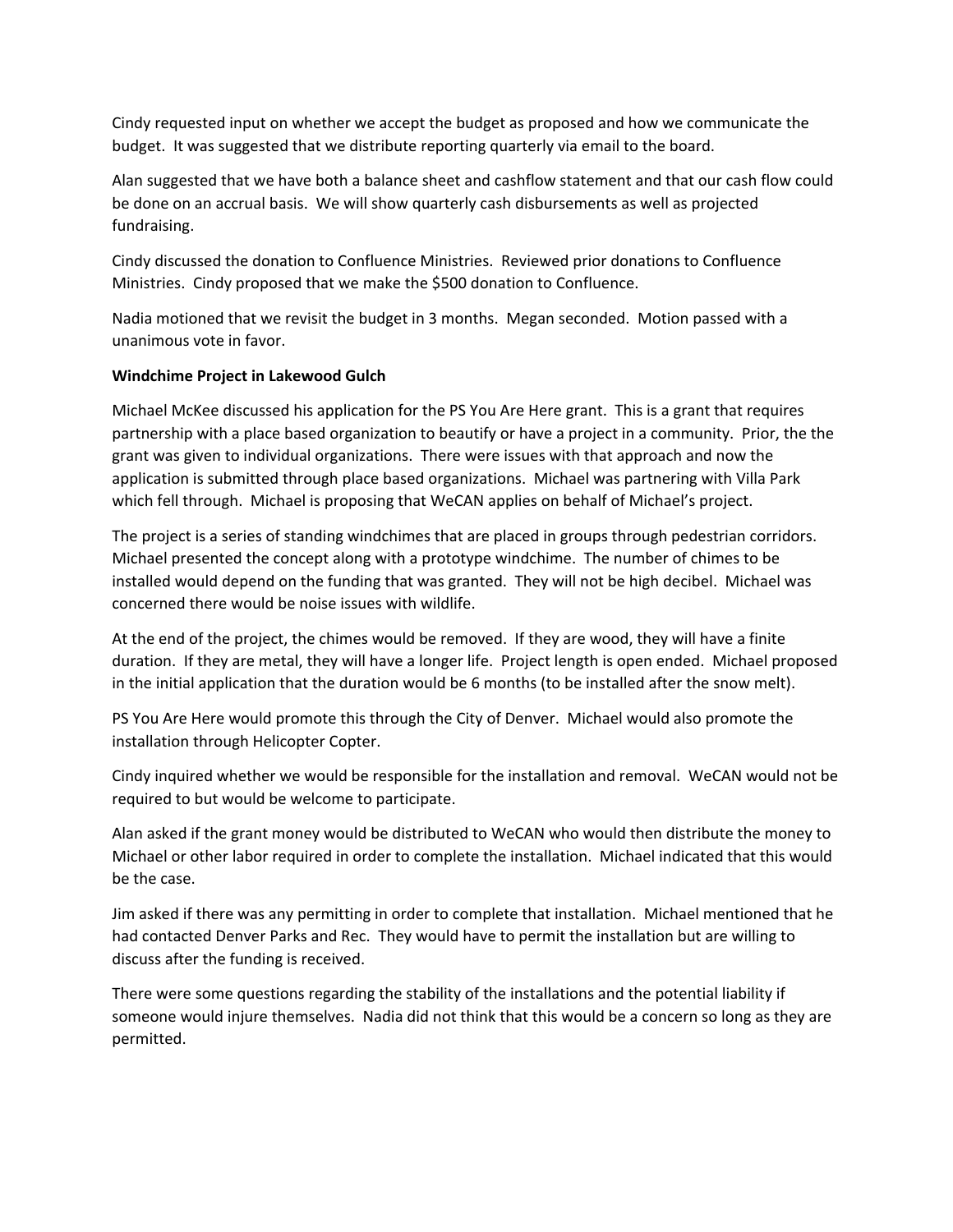Cindy requested input on whether we accept the budget as proposed and how we communicate the budget. It was suggested that we distribute reporting quarterly via email to the board.

Alan suggested that we have both a balance sheet and cashflow statement and that our cash flow could be done on an accrual basis. We will show quarterly cash disbursements as well as projected fundraising.

Cindy discussed the donation to Confluence Ministries. Reviewed prior donations to Confluence Ministries. Cindy proposed that we make the \$500 donation to Confluence.

Nadia motioned that we revisit the budget in 3 months. Megan seconded. Motion passed with a unanimous vote in favor.

# **Windchime Project in Lakewood Gulch**

Michael McKee discussed his application for the PS You Are Here grant. This is a grant that requires partnership with a place based organization to beautify or have a project in a community. Prior, the the grant was given to individual organizations. There were issues with that approach and now the application is submitted through place based organizations. Michael was partnering with Villa Park which fell through. Michael is proposing that WeCAN applies on behalf of Michael's project.

The project is a series of standing windchimes that are placed in groups through pedestrian corridors. Michael presented the concept along with a prototype windchime. The number of chimes to be installed would depend on the funding that was granted. They will not be high decibel. Michael was concerned there would be noise issues with wildlife.

At the end of the project, the chimes would be removed. If they are wood, they will have a finite duration. If they are metal, they will have a longer life. Project length is open ended. Michael proposed in the initial application that the duration would be 6 months (to be installed after the snow melt).

PS You Are Here would promote this through the City of Denver. Michael would also promote the installation through Helicopter Copter.

Cindy inquired whether we would be responsible for the installation and removal. WeCAN would not be required to but would be welcome to participate.

Alan asked if the grant money would be distributed to WeCAN who would then distribute the money to Michael or other labor required in order to complete the installation. Michael indicated that this would be the case.

Jim asked if there was any permitting in order to complete that installation. Michael mentioned that he had contacted Denver Parks and Rec. They would have to permit the installation but are willing to discuss after the funding is received.

There were some questions regarding the stability of the installations and the potential liability if someone would injure themselves. Nadia did not think that this would be a concern so long as they are permitted.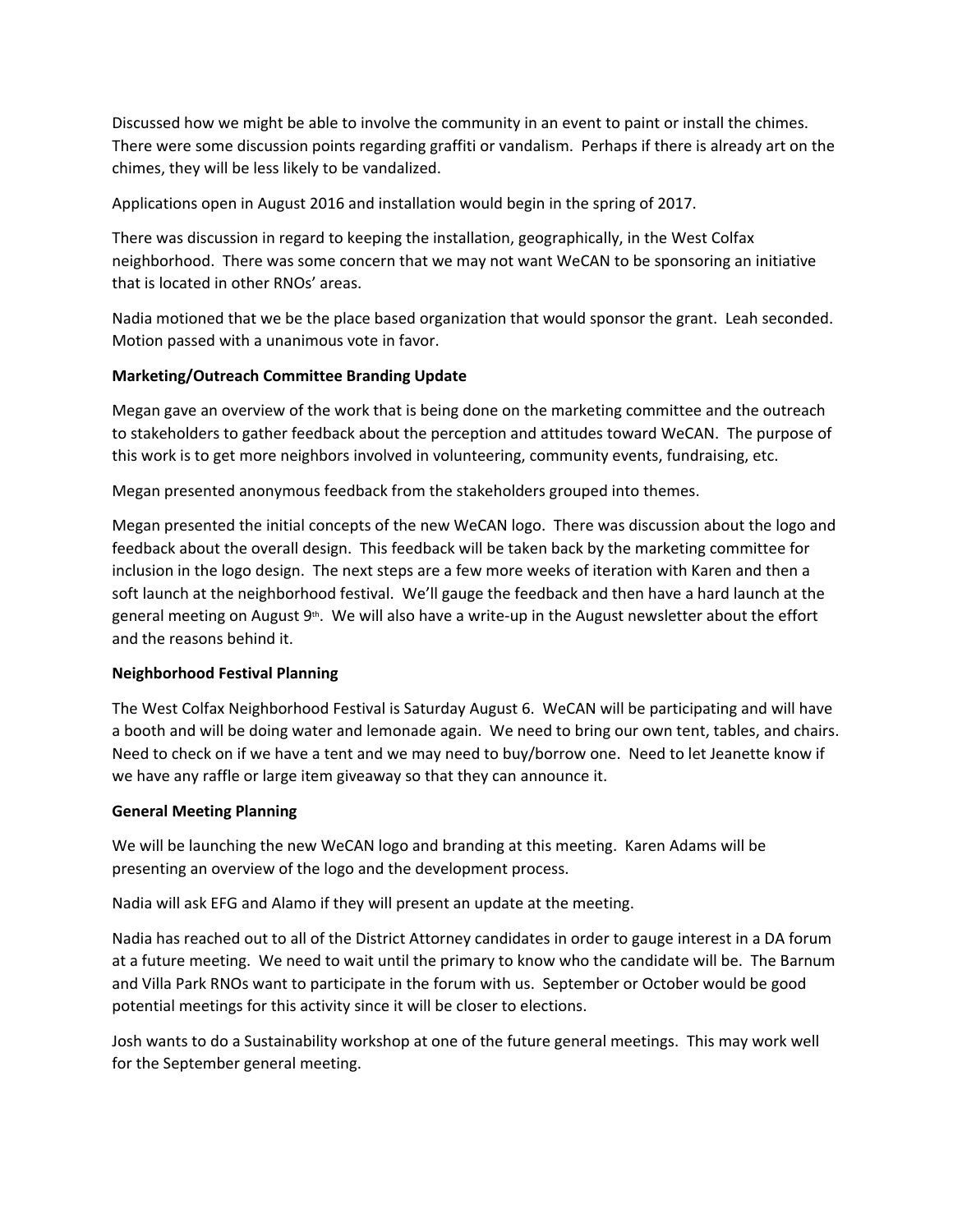Discussed how we might be able to involve the community in an event to paint or install the chimes. There were some discussion points regarding graffiti or vandalism. Perhaps if there is already art on the chimes, they will be less likely to be vandalized.

Applications open in August 2016 and installation would begin in the spring of 2017.

There was discussion in regard to keeping the installation, geographically, in the West Colfax neighborhood. There was some concern that we may not want WeCAN to be sponsoring an initiative that is located in other RNOs' areas.

Nadia motioned that we be the place based organization that would sponsor the grant. Leah seconded. Motion passed with a unanimous vote in favor.

# **Marketing/Outreach Committee Branding Update**

Megan gave an overview of the work that is being done on the marketing committee and the outreach to stakeholders to gather feedback about the perception and attitudes toward WeCAN. The purpose of this work is to get more neighbors involved in volunteering, community events, fundraising, etc.

Megan presented anonymous feedback from the stakeholders grouped into themes.

Megan presented the initial concepts of the new WeCAN logo. There was discussion about the logo and feedback about the overall design. This feedback will be taken back by the marketing committee for inclusion in the logo design. The next steps are a few more weeks of iteration with Karen and then a soft launch at the neighborhood festival. We'll gauge the feedback and then have a hard launch at the general meeting on August 9<sup>th</sup>. We will also have a write-up in the August newsletter about the effort and the reasons behind it.

# **Neighborhood Festival Planning**

The West Colfax Neighborhood Festival is Saturday August 6. WeCAN will be participating and will have a booth and will be doing water and lemonade again. We need to bring our own tent, tables, and chairs. Need to check on if we have a tent and we may need to buy/borrow one. Need to let Jeanette know if we have any raffle or large item giveaway so that they can announce it.

# **General Meeting Planning**

We will be launching the new WeCAN logo and branding at this meeting. Karen Adams will be presenting an overview of the logo and the development process.

Nadia will ask EFG and Alamo if they will present an update at the meeting.

Nadia has reached out to all of the District Attorney candidates in order to gauge interest in a DA forum at a future meeting. We need to wait until the primary to know who the candidate will be. The Barnum and Villa Park RNOs want to participate in the forum with us. September or October would be good potential meetings for this activity since it will be closer to elections.

Josh wants to do a Sustainability workshop at one of the future general meetings. This may work well for the September general meeting.